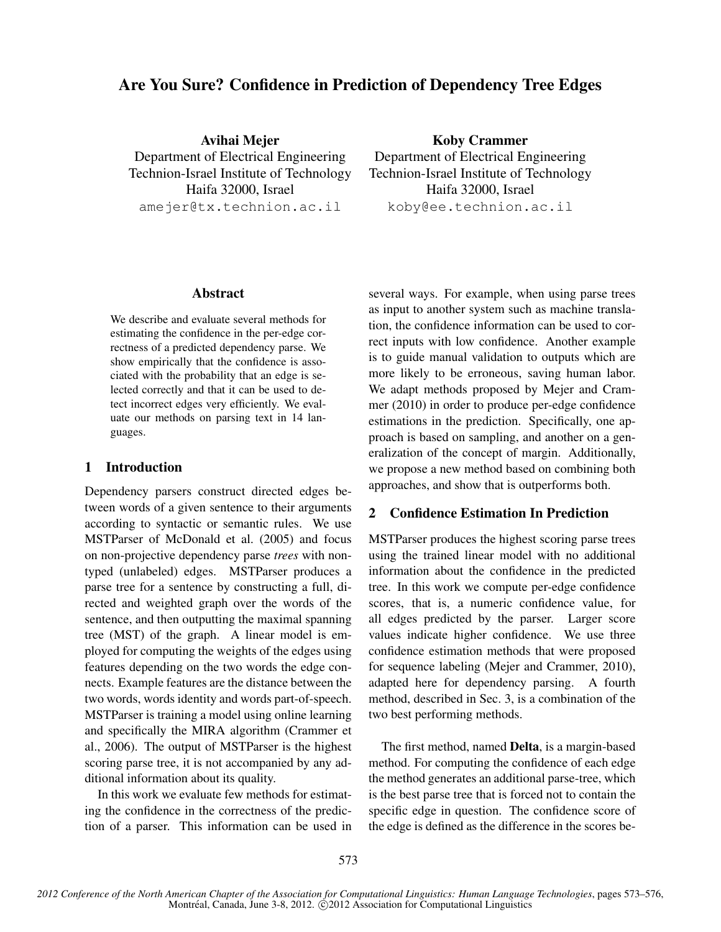# Are You Sure? Confidence in Prediction of Dependency Tree Edges

Avihai Mejer Department of Electrical Engineering Technion-Israel Institute of Technology Haifa 32000, Israel amejer@tx.technion.ac.il

Koby Crammer Department of Electrical Engineering Technion-Israel Institute of Technology Haifa 32000, Israel koby@ee.technion.ac.il

### **Abstract**

We describe and evaluate several methods for estimating the confidence in the per-edge correctness of a predicted dependency parse. We show empirically that the confidence is associated with the probability that an edge is selected correctly and that it can be used to detect incorrect edges very efficiently. We evaluate our methods on parsing text in 14 languages.

## 1 Introduction

Dependency parsers construct directed edges between words of a given sentence to their arguments according to syntactic or semantic rules. We use MSTParser of McDonald et al. (2005) and focus on non-projective dependency parse *trees* with nontyped (unlabeled) edges. MSTParser produces a parse tree for a sentence by constructing a full, directed and weighted graph over the words of the sentence, and then outputting the maximal spanning tree (MST) of the graph. A linear model is employed for computing the weights of the edges using features depending on the two words the edge connects. Example features are the distance between the two words, words identity and words part-of-speech. MSTParser is training a model using online learning and specifically the MIRA algorithm (Crammer et al., 2006). The output of MSTParser is the highest scoring parse tree, it is not accompanied by any additional information about its quality.

In this work we evaluate few methods for estimating the confidence in the correctness of the prediction of a parser. This information can be used in several ways. For example, when using parse trees as input to another system such as machine translation, the confidence information can be used to correct inputs with low confidence. Another example is to guide manual validation to outputs which are more likely to be erroneous, saving human labor. We adapt methods proposed by Mejer and Crammer (2010) in order to produce per-edge confidence estimations in the prediction. Specifically, one approach is based on sampling, and another on a generalization of the concept of margin. Additionally, we propose a new method based on combining both approaches, and show that is outperforms both.

# 2 Confidence Estimation In Prediction

MSTParser produces the highest scoring parse trees using the trained linear model with no additional information about the confidence in the predicted tree. In this work we compute per-edge confidence scores, that is, a numeric confidence value, for all edges predicted by the parser. Larger score values indicate higher confidence. We use three confidence estimation methods that were proposed for sequence labeling (Mejer and Crammer, 2010), adapted here for dependency parsing. A fourth method, described in Sec. 3, is a combination of the two best performing methods.

The first method, named Delta, is a margin-based method. For computing the confidence of each edge the method generates an additional parse-tree, which is the best parse tree that is forced not to contain the specific edge in question. The confidence score of the edge is defined as the difference in the scores be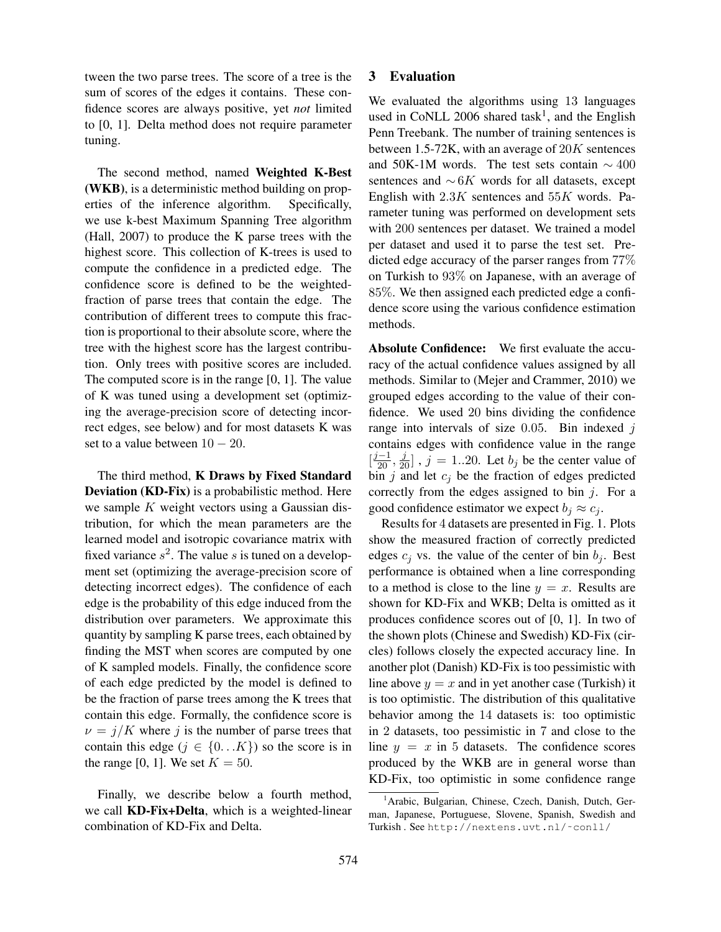tween the two parse trees. The score of a tree is the sum of scores of the edges it contains. These confidence scores are always positive, yet *not* limited to [0, 1]. Delta method does not require parameter tuning.

The second method, named Weighted K-Best (WKB), is a deterministic method building on properties of the inference algorithm. Specifically, we use k-best Maximum Spanning Tree algorithm (Hall, 2007) to produce the K parse trees with the highest score. This collection of K-trees is used to compute the confidence in a predicted edge. The confidence score is defined to be the weightedfraction of parse trees that contain the edge. The contribution of different trees to compute this fraction is proportional to their absolute score, where the tree with the highest score has the largest contribution. Only trees with positive scores are included. The computed score is in the range [0, 1]. The value of K was tuned using a development set (optimizing the average-precision score of detecting incorrect edges, see below) and for most datasets K was set to a value between  $10 - 20$ .

The third method, K Draws by Fixed Standard Deviation (KD-Fix) is a probabilistic method. Here we sample  $K$  weight vectors using a Gaussian distribution, for which the mean parameters are the learned model and isotropic covariance matrix with fixed variance  $s^2$ . The value s is tuned on a development set (optimizing the average-precision score of detecting incorrect edges). The confidence of each edge is the probability of this edge induced from the distribution over parameters. We approximate this quantity by sampling K parse trees, each obtained by finding the MST when scores are computed by one of K sampled models. Finally, the confidence score of each edge predicted by the model is defined to be the fraction of parse trees among the K trees that contain this edge. Formally, the confidence score is  $\nu = j/K$  where j is the number of parse trees that contain this edge ( $j \in \{0...K\}$ ) so the score is in the range [0, 1]. We set  $K = 50$ .

Finally, we describe below a fourth method, we call KD-Fix+Delta, which is a weighted-linear combination of KD-Fix and Delta.

### 3 Evaluation

We evaluated the algorithms using 13 languages used in CoNLL 2006 shared task<sup>1</sup>, and the English Penn Treebank. The number of training sentences is between 1.5-72K, with an average of  $20K$  sentences and 50K-1M words. The test sets contain  $\sim$  400 sentences and  $~\sim 6K$  words for all datasets, except English with  $2.3K$  sentences and  $55K$  words. Parameter tuning was performed on development sets with 200 sentences per dataset. We trained a model per dataset and used it to parse the test set. Predicted edge accuracy of the parser ranges from 77% on Turkish to 93% on Japanese, with an average of 85%. We then assigned each predicted edge a confidence score using the various confidence estimation methods.

Absolute Confidence: We first evaluate the accuracy of the actual confidence values assigned by all methods. Similar to (Mejer and Crammer, 2010) we grouped edges according to the value of their confidence. We used 20 bins dividing the confidence range into intervals of size  $0.05$ . Bin indexed  $i$ contains edges with confidence value in the range  $\left[\frac{j-1}{20}, \frac{j}{20}\right]$ ,  $j = 1..20$ . Let  $b_j$  be the center value of bin  $j$  and let  $c_j$  be the fraction of edges predicted correctly from the edges assigned to bin  $j$ . For a good confidence estimator we expect  $b_i \approx c_i$ .

Results for 4 datasets are presented in Fig. 1. Plots show the measured fraction of correctly predicted edges  $c_i$  vs. the value of the center of bin  $b_i$ . Best performance is obtained when a line corresponding to a method is close to the line  $y = x$ . Results are shown for KD-Fix and WKB; Delta is omitted as it produces confidence scores out of [0, 1]. In two of the shown plots (Chinese and Swedish) KD-Fix (circles) follows closely the expected accuracy line. In another plot (Danish) KD-Fix is too pessimistic with line above  $y = x$  and in yet another case (Turkish) it is too optimistic. The distribution of this qualitative behavior among the 14 datasets is: too optimistic in 2 datasets, too pessimistic in 7 and close to the line  $y = x$  in 5 datasets. The confidence scores produced by the WKB are in general worse than KD-Fix, too optimistic in some confidence range

<sup>&</sup>lt;sup>1</sup> Arabic, Bulgarian, Chinese, Czech, Danish, Dutch, German, Japanese, Portuguese, Slovene, Spanish, Swedish and Turkish . See http://nextens.uvt.nl/˜conll/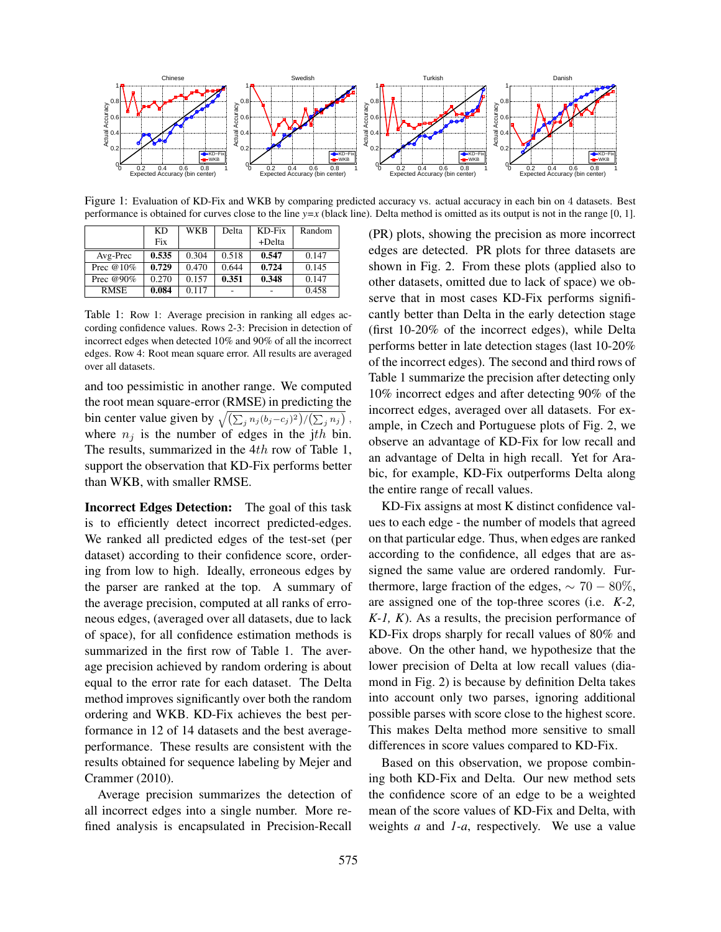

Figure 1: Evaluation of KD-Fix and WKB by comparing predicted accuracy vs. actual accuracy in each bin on 4 datasets. Best performance is obtained for curves close to the line *y=x* (black line). Delta method is omitted as its output is not in the range [0, 1].

|              | <b>KD</b> | <b>WKB</b> | Delta | KD-Fix | Random |
|--------------|-----------|------------|-------|--------|--------|
|              | Fix       |            |       | +Delta |        |
| Avg-Prec     | 0.535     | 0.304      | 0.518 | 0.547  | 0.147  |
| Prec $@10\%$ | 0.729     | 0.470      | 0.644 | 0.724  | 0.145  |
| Prec @90%    | 0.270     | 0.157      | 0.351 | 0.348  | 0.147  |
| <b>RMSE</b>  | 0.084     | 0.117      |       |        | 0.458  |

Table 1: Row 1: Average precision in ranking all edges according confidence values. Rows 2-3: Precision in detection of incorrect edges when detected 10% and 90% of all the incorrect edges. Row 4: Root mean square error. All results are averaged over all datasets.

and too pessimistic in another range. We computed the root mean square-error (RMSE) in predicting the bin center value given by  $\sqrt{\left(\sum_j n_j (b_j - c_j)^2\right) / \left(\sum_j n_j\right)}$ , where  $n_i$  is the number of edges in the jth bin. The results, summarized in the 4th row of Table 1, support the observation that KD-Fix performs better than WKB, with smaller RMSE.

Incorrect Edges Detection: The goal of this task is to efficiently detect incorrect predicted-edges. We ranked all predicted edges of the test-set (per dataset) according to their confidence score, ordering from low to high. Ideally, erroneous edges by the parser are ranked at the top. A summary of the average precision, computed at all ranks of erroneous edges, (averaged over all datasets, due to lack of space), for all confidence estimation methods is summarized in the first row of Table 1. The average precision achieved by random ordering is about equal to the error rate for each dataset. The Delta method improves significantly over both the random ordering and WKB. KD-Fix achieves the best performance in 12 of 14 datasets and the best averageperformance. These results are consistent with the results obtained for sequence labeling by Mejer and Crammer (2010).

Average precision summarizes the detection of all incorrect edges into a single number. More refined analysis is encapsulated in Precision-Recall (PR) plots, showing the precision as more incorrect edges are detected. PR plots for three datasets are shown in Fig. 2. From these plots (applied also to other datasets, omitted due to lack of space) we observe that in most cases KD-Fix performs significantly better than Delta in the early detection stage (first 10-20% of the incorrect edges), while Delta performs better in late detection stages (last 10-20% of the incorrect edges). The second and third rows of Table 1 summarize the precision after detecting only 10% incorrect edges and after detecting 90% of the incorrect edges, averaged over all datasets. For example, in Czech and Portuguese plots of Fig. 2, we observe an advantage of KD-Fix for low recall and an advantage of Delta in high recall. Yet for Arabic, for example, KD-Fix outperforms Delta along the entire range of recall values.

KD-Fix assigns at most K distinct confidence values to each edge - the number of models that agreed on that particular edge. Thus, when edges are ranked according to the confidence, all edges that are assigned the same value are ordered randomly. Furthermore, large fraction of the edges,  $\sim 70 - 80\%$ , are assigned one of the top-three scores (i.e. *K-2, K-1, K*). As a results, the precision performance of KD-Fix drops sharply for recall values of 80% and above. On the other hand, we hypothesize that the lower precision of Delta at low recall values (diamond in Fig. 2) is because by definition Delta takes into account only two parses, ignoring additional possible parses with score close to the highest score. This makes Delta method more sensitive to small differences in score values compared to KD-Fix.

Based on this observation, we propose combining both KD-Fix and Delta. Our new method sets the confidence score of an edge to be a weighted mean of the score values of KD-Fix and Delta, with weights *a* and *1-a*, respectively. We use a value